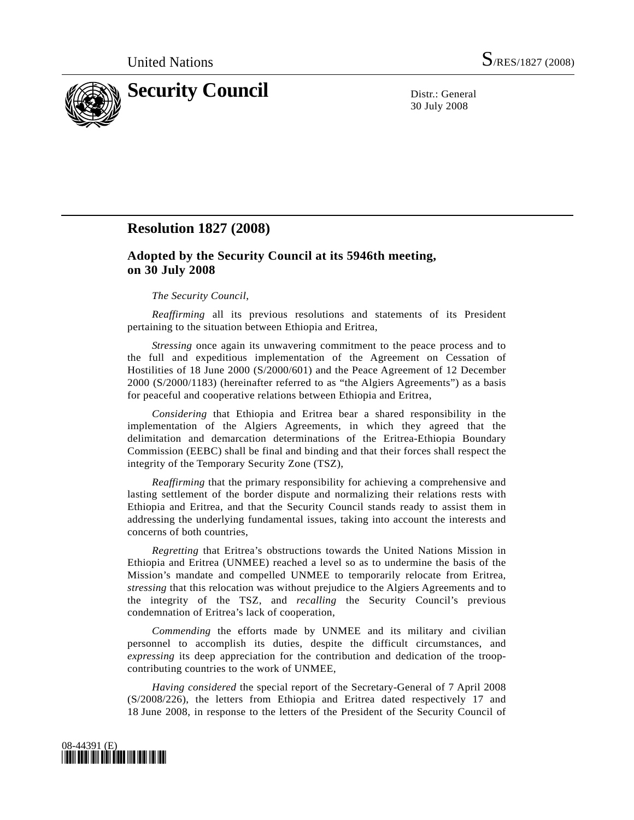

30 July 2008

## **Resolution 1827 (2008)**

## **Adopted by the Security Council at its 5946th meeting, on 30 July 2008**

## *The Security Council*,

*Reaffirming* all its previous resolutions and statements of its President pertaining to the situation between Ethiopia and Eritrea,

*Stressing* once again its unwavering commitment to the peace process and to the full and expeditious implementation of the Agreement on Cessation of Hostilities of 18 June 2000 (S/2000/601) and the Peace Agreement of 12 December 2000 (S/2000/1183) (hereinafter referred to as "the Algiers Agreements") as a basis for peaceful and cooperative relations between Ethiopia and Eritrea,

*Considering* that Ethiopia and Eritrea bear a shared responsibility in the implementation of the Algiers Agreements, in which they agreed that the delimitation and demarcation determinations of the Eritrea-Ethiopia Boundary Commission (EEBC) shall be final and binding and that their forces shall respect the integrity of the Temporary Security Zone (TSZ),

*Reaffirming* that the primary responsibility for achieving a comprehensive and lasting settlement of the border dispute and normalizing their relations rests with Ethiopia and Eritrea, and that the Security Council stands ready to assist them in addressing the underlying fundamental issues, taking into account the interests and concerns of both countries,

*Regretting* that Eritrea's obstructions towards the United Nations Mission in Ethiopia and Eritrea (UNMEE) reached a level so as to undermine the basis of the Mission's mandate and compelled UNMEE to temporarily relocate from Eritrea, *stressing* that this relocation was without prejudice to the Algiers Agreements and to the integrity of the TSZ, and *recalling* the Security Council's previous condemnation of Eritrea's lack of cooperation,

*Commending* the efforts made by UNMEE and its military and civilian personnel to accomplish its duties, despite the difficult circumstances, and *expressing* its deep appreciation for the contribution and dedication of the troopcontributing countries to the work of UNMEE,

*Having considered* the special report of the Secretary-General of 7 April 2008 (S/2008/226), the letters from Ethiopia and Eritrea dated respectively 17 and 18 June 2008, in response to the letters of the President of the Security Council of